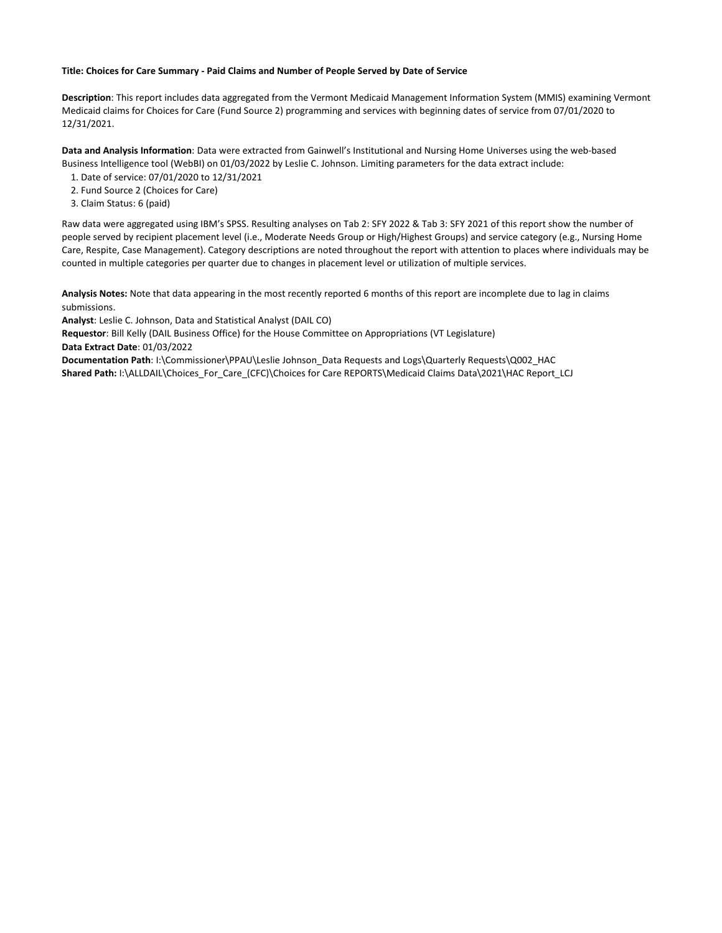## **Title: Choices for Care Summary - Paid Claims and Number of People Served by Date of Service**

**Description**: This report includes data aggregated from the Vermont Medicaid Management Information System (MMIS) examining Vermont Medicaid claims for Choices for Care (Fund Source 2) programming and services with beginning dates of service from 07/01/2020 to 12/31/2021.

**Data and Analysis Information**: Data were extracted from Gainwell's Institutional and Nursing Home Universes using the web-based Business Intelligence tool (WebBI) on 01/03/2022 by Leslie C. Johnson. Limiting parameters for the data extract include:

- 1. Date of service: 07/01/2020 to 12/31/2021
- 2. Fund Source 2 (Choices for Care)
- 3. Claim Status: 6 (paid)

Raw data were aggregated using IBM's SPSS. Resulting analyses on Tab 2: SFY 2022 & Tab 3: SFY 2021 of this report show the number of people served by recipient placement level (i.e., Moderate Needs Group or High/Highest Groups) and service category (e.g., Nursing Home Care, Respite, Case Management). Category descriptions are noted throughout the report with attention to places where individuals may be counted in multiple categories per quarter due to changes in placement level or utilization of multiple services.

**Analysis Notes:** Note that data appearing in the most recently reported 6 months of this report are incomplete due to lag in claims submissions.

**Analyst**: Leslie C. Johnson, Data and Statistical Analyst (DAIL CO)

**Requestor**: Bill Kelly (DAIL Business Office) for the House Committee on Appropriations (VT Legislature)

**Data Extract Date**: 01/03/2022

**Documentation Path**: I:\Commissioner\PPAU\Leslie Johnson\_Data Requests and Logs\Quarterly Requests\Q002\_HAC **Shared Path:** I:\ALLDAIL\Choices\_For\_Care\_(CFC)\Choices for Care REPORTS\Medicaid Claims Data\2021\HAC Report\_LCJ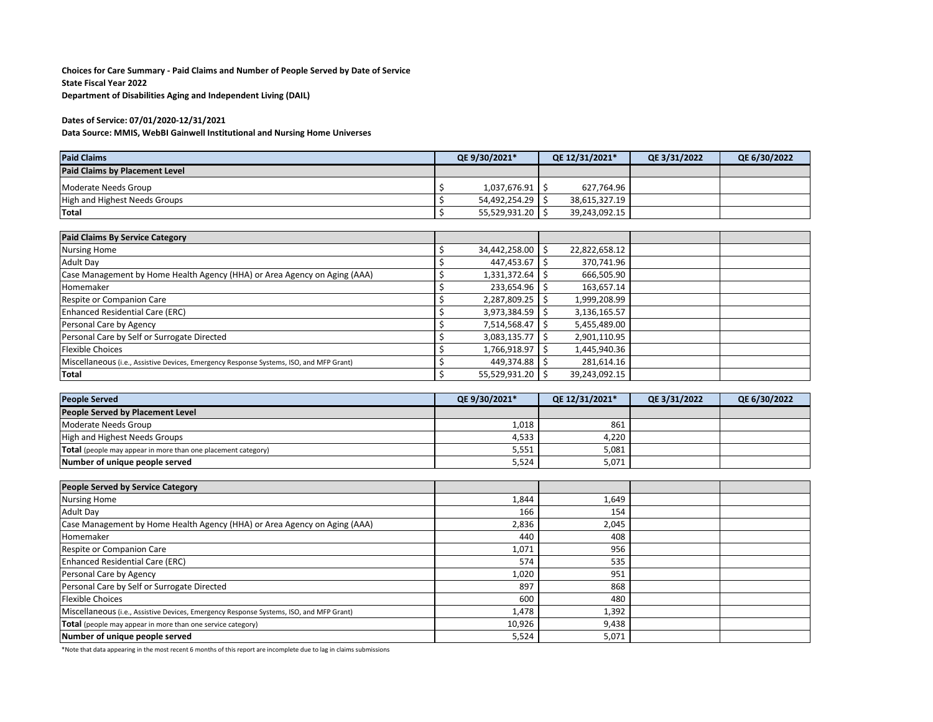**Choices for Care Summary - Paid Claims and Number of People Served by Date of Service State Fiscal Year 2022 Department of Disabilities Aging and Independent Living (DAIL)**

## **Dates of Service: 07/01/2020-12/31/2021**

**Data Source: MMIS, WebBI Gainwell Institutional and Nursing Home Universes**

| <b>Paid Claims</b>                    | QE 9/30/2021* | QE 12/31/2021* | QE 3/31/2022 | QE 6/30/2022 |
|---------------------------------------|---------------|----------------|--------------|--------------|
| <b>Paid Claims by Placement Level</b> |               |                |              |              |
| Moderate Needs Group                  | 1.037.676.91  | 627,764.96     |              |              |
| High and Highest Needs Groups         | 54,492,254.29 | 38,615,327.19  |              |              |
| Total                                 | 55,529,931.20 | 39,243,092.15  |              |              |

| <b>Paid Claims By Service Category</b>                                                  |               |               |  |
|-----------------------------------------------------------------------------------------|---------------|---------------|--|
| <b>Nursing Home</b>                                                                     | 34,442,258.00 | 22,822,658.12 |  |
| <b>Adult Day</b>                                                                        | 447,453.67    | 370,741.96    |  |
| Case Management by Home Health Agency (HHA) or Area Agency on Aging (AAA)               | 1,331,372.64  | 666,505.90    |  |
| Homemaker                                                                               | 233,654.96 \$ | 163,657.14    |  |
| Respite or Companion Care                                                               | 2,287,809.25  | 1,999,208.99  |  |
| <b>Enhanced Residential Care (ERC)</b>                                                  | 3,973,384.59  | 3,136,165.57  |  |
| Personal Care by Agency                                                                 | 7,514,568.47  | 5,455,489.00  |  |
| Personal Care by Self or Surrogate Directed                                             | 3,083,135.77  | 2,901,110.95  |  |
| <b>Flexible Choices</b>                                                                 | 1,766,918.97  | 1,445,940.36  |  |
| Miscellaneous (i.e., Assistive Devices, Emergency Response Systems, ISO, and MFP Grant) | 449,374.88 \$ | 281,614.16    |  |
| <b>Total</b>                                                                            | 55,529,931.20 | 39,243,092.15 |  |

| <b>People Served</b>                                          | QE 9/30/2021* | QE 12/31/2021* | OE 3/31/2022 | QE 6/30/2022 |
|---------------------------------------------------------------|---------------|----------------|--------------|--------------|
| People Served by Placement Level                              |               |                |              |              |
| Moderate Needs Group                                          | 1,018         | 861            |              |              |
| High and Highest Needs Groups                                 | 4,533         | 4,220          |              |              |
| Total (people may appear in more than one placement category) | 5,551         | 5,081          |              |              |
| Number of unique people served                                | 5,524         | 5,071          |              |              |

| People Served by Service Category                                                       |        |       |  |
|-----------------------------------------------------------------------------------------|--------|-------|--|
| <b>Nursing Home</b>                                                                     | 1,844  | 1,649 |  |
| Adult Day                                                                               | 166    | 154   |  |
| Case Management by Home Health Agency (HHA) or Area Agency on Aging (AAA)               | 2,836  | 2,045 |  |
| Homemaker                                                                               | 440    | 408   |  |
| Respite or Companion Care                                                               | 1,071  | 956   |  |
| <b>Enhanced Residential Care (ERC)</b>                                                  | 574    | 535   |  |
| Personal Care by Agency                                                                 | 1,020  | 951   |  |
| Personal Care by Self or Surrogate Directed                                             | 897    | 868   |  |
| <b>Flexible Choices</b>                                                                 | 600    | 480   |  |
| Miscellaneous (i.e., Assistive Devices, Emergency Response Systems, ISO, and MFP Grant) | 1,478  | 1,392 |  |
| <b>Total</b> (people may appear in more than one service category)                      | 10,926 | 9,438 |  |
| Number of unique people served                                                          | 5,524  | 5,071 |  |

\*Note that data appearing in the most recent 6 months of this report are incomplete due to lag in claims submissions